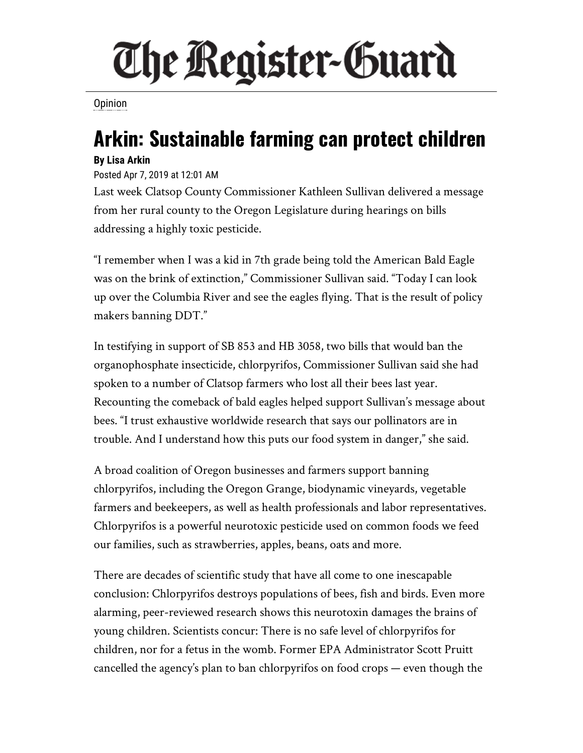## The Register-Guard

**[Opinion](https://www.registerguard.com/search?text=Opinion)** 

## **Arkin: Sustainable farming can protect children**

## **By Lisa Arkin**

Posted Apr 7, 2019 at 12:01 AM

Last week Clatsop County Commissioner Kathleen Sullivan delivered a message from her rural county to the Oregon Legislature during hearings on bills addressing a highly toxic pesticide.

"I remember when I was a kid in 7th grade being told the American Bald Eagle was on the brink of extinction," Commissioner Sullivan said. "Today I can look up over the Columbia River and see the eagles flying. That is the result of policy makers banning DDT."

In testifying in support of SB 853 and HB 3058, two bills that would ban the organophosphate insecticide, chlorpyrifos, Commissioner Sullivan said she had spoken to a number of Clatsop farmers who lost all their bees last year. Recounting the comeback of bald eagles helped support Sullivan's message about bees. "I trust exhaustive worldwide research that says our pollinators are in trouble. And I understand how this puts our food system in danger," she said.

A broad coalition of Oregon businesses and farmers support banning chlorpyrifos, including the Oregon Grange, biodynamic vineyards, vegetable farmers and beekeepers, as well as health professionals and labor representatives. Chlorpyrifos is a powerful neurotoxic pesticide used on common foods we feed our families, such as strawberries, apples, beans, oats and more.

There are decades of scientific study that have all come to one inescapable conclusion: Chlorpyrifos destroys populations of bees, fish and birds. Even more alarming, peer-reviewed research shows this neurotoxin damages the brains of young children. Scientists concur: There is no safe level of chlorpyrifos for children, nor for a fetus in the womb. Former EPA Administrator Scott Pruitt cancelled the agency's plan to ban chlorpyrifos on food crops — even though the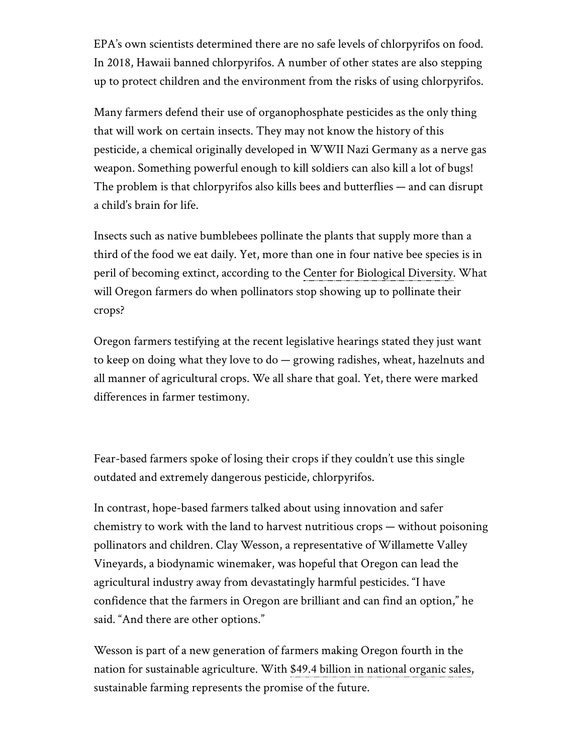EPA's own scientists determined there are no safe levels of chlorpyrifos on food. In 2018, Hawaii banned chlorpyrifos. A number of other states are also stepping up to protect children and the environment from the risks of using chlorpyrifos.

Many farmers defend their use of organophosphate pesticides as the only thing that will work on certain insects. They may not know the history of this pesticide, a chemical originally developed in WWII Nazi Germany as a nerve gas weapon. Something powerful enough to kill soldiers can also kill a lot of bugs! The problem is that chlorpyrifos also kills bees and butterflies — and can disrupt a child's brain for life.

Insects such as native bumblebees pollinate the plants that supply more than a third of the food we eat daily. Yet, more than one in four native bee species is in peril of becoming extinct, according to the [Center for Biological Diversity.](https://www.biologicaldiversity.org/campaigns/native_pollinators/pdfs/Pollinators_in_Peril.pdf) What will Oregon farmers do when pollinators stop showing up to pollinate their crops?

Oregon farmers testifying at the recent legislative hearings stated they just want to keep on doing what they love to do — growing radishes, wheat, hazelnuts and all manner of agricultural crops. We all share that goal. Yet, there were marked differences in farmer testimony.

Fear-based farmers spoke of losing their crops if they couldn't use this single outdated and extremely dangerous pesticide, chlorpyrifos.

In contrast, hope-based farmers talked about using innovation and safer chemistry to work with the land to harvest nutritious crops — without poisoning pollinators and children. Clay Wesson, a representative of Willamette Valley Vineyards, a biodynamic winemaker, was hopeful that Oregon can lead the agricultural industry away from devastatingly harmful pesticides. "I have confidence that the farmers in Oregon are brilliant and can find an option," he said. "And there are other options."

Wesson is part of a new generation of farmers making Oregon fourth in the nation for sustainable agriculture. With [\\$49.4 billion in national organic sales,](https://ota.com/news/press-releases/20236) sustainable farming represents the promise of the future.